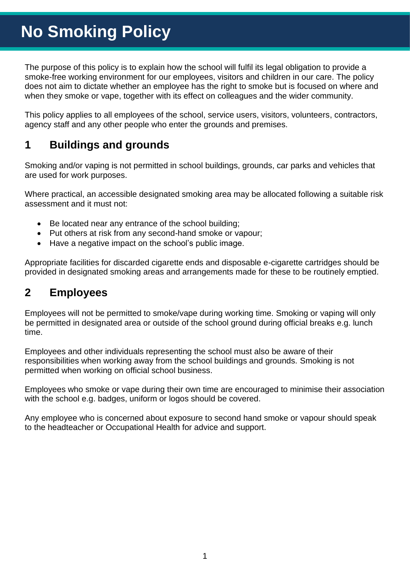The purpose of this policy is to explain how the school will fulfil its legal obligation to provide a smoke-free working environment for our employees, visitors and children in our care. The policy does not aim to dictate whether an employee has the right to smoke but is focused on where and when they smoke or vape, together with its effect on colleagues and the wider community.

This policy applies to all employees of the school, service users, visitors, volunteers, contractors, agency staff and any other people who enter the grounds and premises.

# **1 Buildings and grounds**

Smoking and/or vaping is not permitted in school buildings, grounds, car parks and vehicles that are used for work purposes.

Where practical, an accessible designated smoking area may be allocated following a suitable risk assessment and it must not:

- Be located near any entrance of the school building;
- Put others at risk from any second-hand smoke or vapour;
- Have a negative impact on the school's public image.

Appropriate facilities for discarded cigarette ends and disposable e-cigarette cartridges should be provided in designated smoking areas and arrangements made for these to be routinely emptied.

# **2 Employees**

Employees will not be permitted to smoke/vape during working time. Smoking or vaping will only be permitted in designated area or outside of the school ground during official breaks e.g. lunch time.

Employees and other individuals representing the school must also be aware of their responsibilities when working away from the school buildings and grounds. Smoking is not permitted when working on official school business.

Employees who smoke or vape during their own time are encouraged to minimise their association with the school e.g. badges, uniform or logos should be covered.

Any employee who is concerned about exposure to second hand smoke or vapour should speak to the headteacher or Occupational Health for advice and support.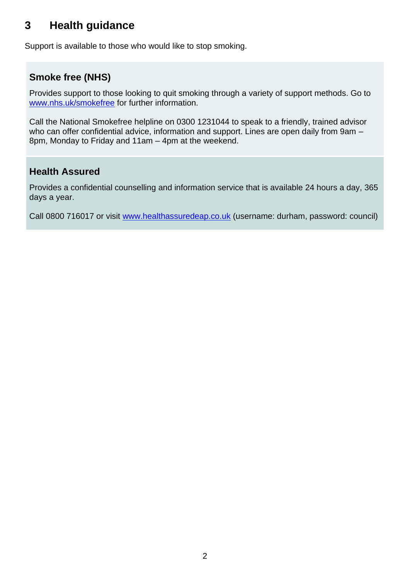### **3 Health guidance**

Support is available to those who would like to stop smoking.

### **Smoke free (NHS)**

Provides support to those looking to quit smoking through a variety of support methods. Go to [www.nhs.uk/smokefree](http://www.nhs.uk/smokefree) for further information.

Call the National Smokefree helpline on 0300 1231044 to speak to a friendly, trained advisor who can offer confidential advice, information and support. Lines are open daily from 9am – 8pm, Monday to Friday and 11am – 4pm at the weekend.

#### **Health Assured**

Provides a confidential counselling and information service that is available 24 hours a day, 365 days a year.

Call 0800 716017 or visit [www.healthassuredeap.co.uk](http://www.healthassuredeap.co.uk/) (username: durham, password: council)